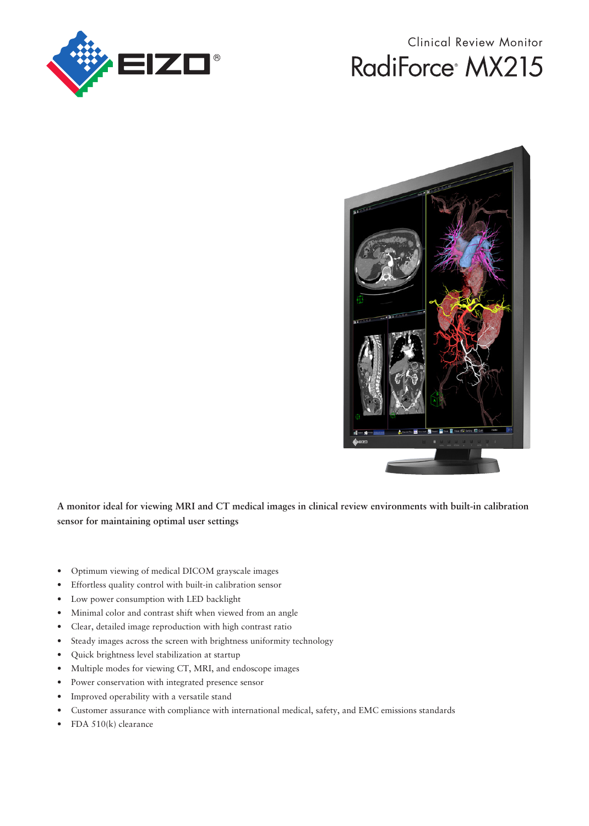

## Clinical Review Monitor RadiForce<sup>®</sup> MX215



**A monitor ideal for viewing MRI and CT medical images in clinical review environments with built-in calibration sensor for maintaining optimal user settings**

- Optimum viewing of medical DICOM grayscale images
- Effortless quality control with built-in calibration sensor
- Low power consumption with LED backlight
- Minimal color and contrast shift when viewed from an angle
- Clear, detailed image reproduction with high contrast ratio
- Steady images across the screen with brightness uniformity technology
- Quick brightness level stabilization at startup
- Multiple modes for viewing CT, MRI, and endoscope images
- Power conservation with integrated presence sensor
- Improved operability with a versatile stand
- Customer assurance with compliance with international medical, safety, and EMC emissions standards
- FDA 510(k) clearance